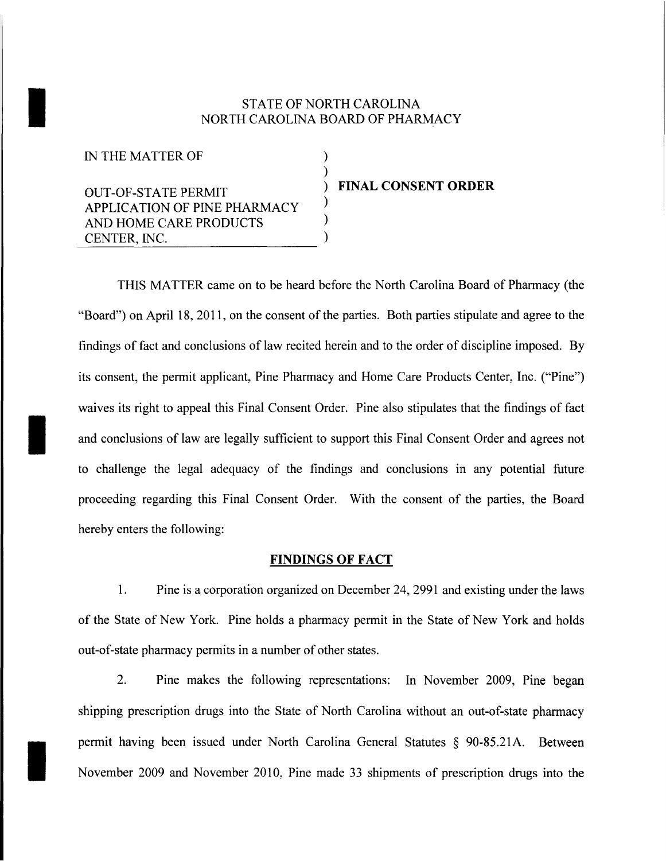## STATE OF NORTH CAROLINA<br>NORTH CAROLINA BOARD OF PHAR NORTH CAROLINA BOARD OF PHARMACY

) )

> ) ) )

IN THE MATTER OF

OUT-OF-STATE PERMIT APPLICATION OF PINE PHARMACY AND HOME CARE PRODUCTS CENTER, INC.

) **FINAL CONSENT ORDER**

THIS MATTER came on to be heard before the North Carolina Board of Pharmacy (the "Board") on April 18, 2011, on the consent of the parties. Both parties stipulate and agree to the findings of fact and conclusions of law recited herein and to the order of discipline imposed. By its consent, the permit applicant, Pine Pharmacy and Home Care Products Center, Inc. ("Pine") waives its right to appeal this Final Consent Order. Pine also stipulates that the findings of fact and conclusions of law are legally sufficient to support this Final Consent Order and agrees not to challenge the legal adequacy of the findings and conclusions in any potential future proceeding regarding this Final Consent Order. With the consent of the parties, the Board hereby enters the following:

## **FINDINGS OF FACT**

1. Pine is a corporation organized on December 24,2991 and existing under the laws of the State of New York. Pine holds a pharmacy permit in the State of New York and holds out-of-state pharmacy permits in a number of other states.

2. Pine makes the following representations: In November 2009, Pine began shipping prescription drugs into the State of North Carolina without an out-of-state pharmacy permit having been issued under North Carolina General Statutes § 90-85.21A. Between<br>November 2009 and November 2010, Pine made 33 shipments of prescription drugs into the November 2009 and November 2010, Pine made 33 shipments of prescription drugs into the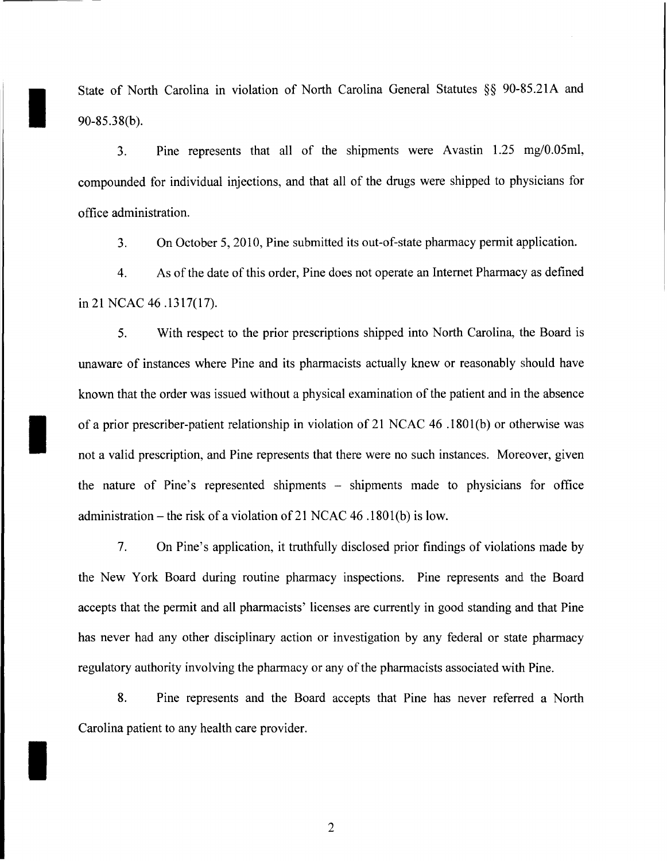State of North Carolina in violation of North Carolina General Statutes §§ 90-85.21A and 90-85.38(b).

I

I

I

3. Pine represents that all of the shipments were Avastin 1.25 mg/O.05ml, compounded for individual injections, and that all of the drugs were shipped to physicians for office administration.

3. On October 5,2010, Pine submitted its out-of-state pharmacy permit application.

4. As ofthe date ofthis order, Pine does not operate an Internet Pharmacy as defined in 21 NCAC 46 .1317(17).

5. With respect to the prior prescriptions shipped into North Carolina, the Board is unaware of instances where Pine and its pharmacists actually knew or reasonably should have known that the order was issued without a physical examination of the patient and in the absence of a prior prescriber-patient relationship in violation of 21 NCAC 46 .1801 (b) or otherwise was not a valid prescription, and Pine represents that there were no such instances. Moreover, given the nature of Pine's represented shipments - shipments made to physicians for office administration - the risk of a violation of 21 NCAC 46 .1801(b) is low.

7. On Pine's application, it truthfully disclosed prior findings of violations made by the New York Board during routine pharmacy inspections. Pine represents and the Board accepts that the permit and all pharmacists' licenses are currently in good standing and that Pine has never had any other disciplinary action or investigation by any federal or state pharmacy regulatory authority involving the pharmacy or any of the pharmacists associated with Pine.

8. Pine represents and the Board accepts that Pine has never referred a North Carolina patient to any health care provider.

2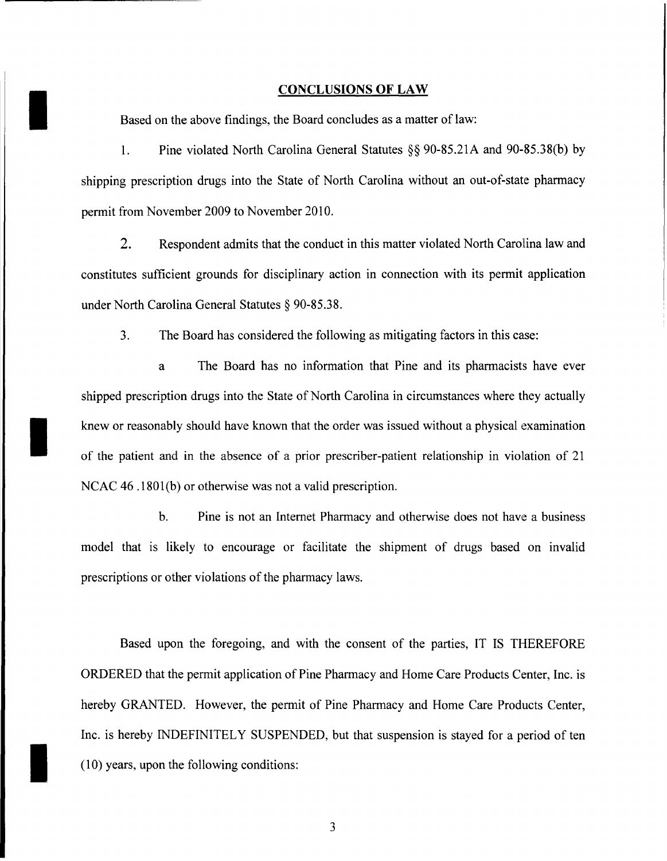## **CONCLUSIONS OF LAW**

Based on the above findings, the Board concludes as a matter of law:

I

I

1. Pine violated North Carolina General Statutes §§ 90-85.21A and 90-85.38(b) by shipping prescription drugs into the State of North Carolina without an out-of-state pharmacy permit from November 2009 to November 2010.

2. Respondent admits that the conduct in this matter violated North Carolina law and constitutes sufficient grounds for disciplinary action in connection with its permit application under North Carolina General Statutes § 90-85.38.

3. The Board has considered the following as mitigating factors in this case:

a The Board has no information that Pine and its pharmacists have ever shipped prescription drugs into the State of North Carolina in circumstances where they actually knew or reasonably should have known that the order was issued without a physical examination of the patient and in the absence of a prior prescriber-patient relationship in violation of 21 NCAC 46 .1801(b) or otherwise was not a valid prescription.

b. Pine is not an Internet Pharmacy and otherwise does not have a business model that is likely to encourage or facilitate the shipment of drugs based on invalid prescriptions or other violations of the pharmacy laws.

Based upon the foregoing, and with the consent of the parties, IT IS THEREFORE ORDERED that the permit application of Pine Pharmacy and Home Care Products Center, Inc. is hereby GRANTED. However, the permit of Pine Pharmacy and Home Care Products Center, Inc. is hereby INDEFINITELY SUSPENDED, but that suspension is stayed for a period of ten (10) years, upon the following conditions: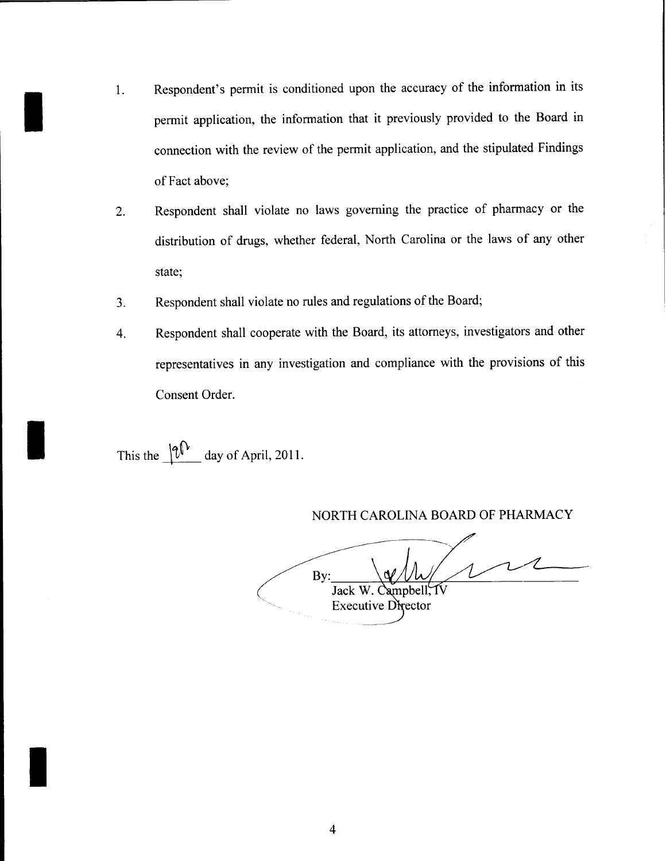- $\blacksquare$ Respondent's permit is conditioned upon the accuracy of the information in its permit application, the information that it previously provided to the Board in connection with the review of the permit application, and the stipulated Findings of Fact above;
	- 2. Respondent shall violate no laws governing the practice of pharmacy or the distribution of drugs, whether federal, North Carolina or the laws of any other state;
	- 3. Respondent shall violate no rules and regulations of the Board;
	- 4. Respondent shall cooperate with the Board, its attorneys, investigators and other representatives in any investigation and compliance with the provisions of this Consent Order.

This the  $\sqrt{\mathfrak{p}^{\mathfrak{t}}}\;$  day of April, 2011.

I

I

NORTH CAROLINA BOARD OF PHARMACY

By: Jack W. Campbell, **Executive Director**